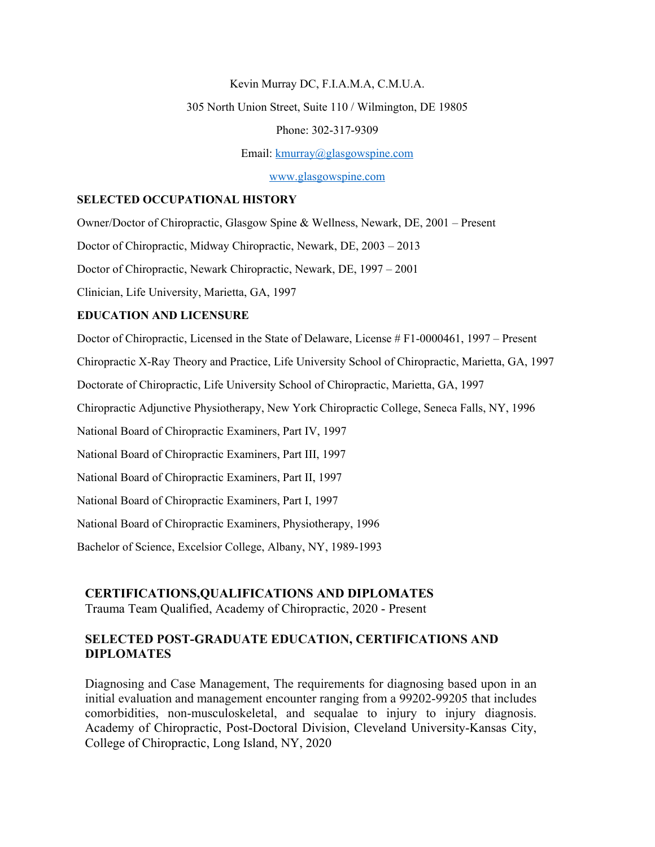Kevin Murray DC, F.I.A.M.A, C.M.U.A.

305 North Union Street, Suite 110 / Wilmington, DE 19805

Phone: 302-317-9309

Email: [kmurray@glasgowspine.com](mailto:kmurray@glasgowspine.com)

[www.glasgowspine.com](http://www.glasgowspine.com)

### **SELECTED OCCUPATIONAL HISTORY**

Owner/Doctor of Chiropractic, Glasgow Spine & Wellness, Newark, DE, 2001 – Present

Doctor of Chiropractic, Midway Chiropractic, Newark, DE, 2003 – 2013

Doctor of Chiropractic, Newark Chiropractic, Newark, DE, 1997 – 2001

Clinician, Life University, Marietta, GA, 1997

#### **EDUCATION AND LICENSURE**

Doctor of Chiropractic, Licensed in the State of Delaware, License # F1-0000461, 1997 – Present

Chiropractic X-Ray Theory and Practice, Life University School of Chiropractic, Marietta, GA, 1997

Doctorate of Chiropractic, Life University School of Chiropractic, Marietta, GA, 1997

Chiropractic Adjunctive Physiotherapy, New York Chiropractic College, Seneca Falls, NY, 1996

National Board of Chiropractic Examiners, Part IV, 1997

National Board of Chiropractic Examiners, Part III, 1997

National Board of Chiropractic Examiners, Part II, 1997

National Board of Chiropractic Examiners, Part I, 1997

National Board of Chiropractic Examiners, Physiotherapy, 1996

Bachelor of Science, Excelsior College, Albany, NY, 1989-1993

#### **CERTIFICATIONS,QUALIFICATIONS AND DIPLOMATES**

Trauma Team Qualified, Academy of Chiropractic, 2020 - Present

## **SELECTED POST-GRADUATE EDUCATION, CERTIFICATIONS AND DIPLOMATES**

Diagnosing and Case Management, The requirements for diagnosing based upon in an initial evaluation and management encounter ranging from a 99202-99205 that includes comorbidities, non-musculoskeletal, and sequalae to injury to injury diagnosis. Academy of Chiropractic, Post-Doctoral Division, Cleveland University-Kansas City, College of Chiropractic, Long Island, NY, 2020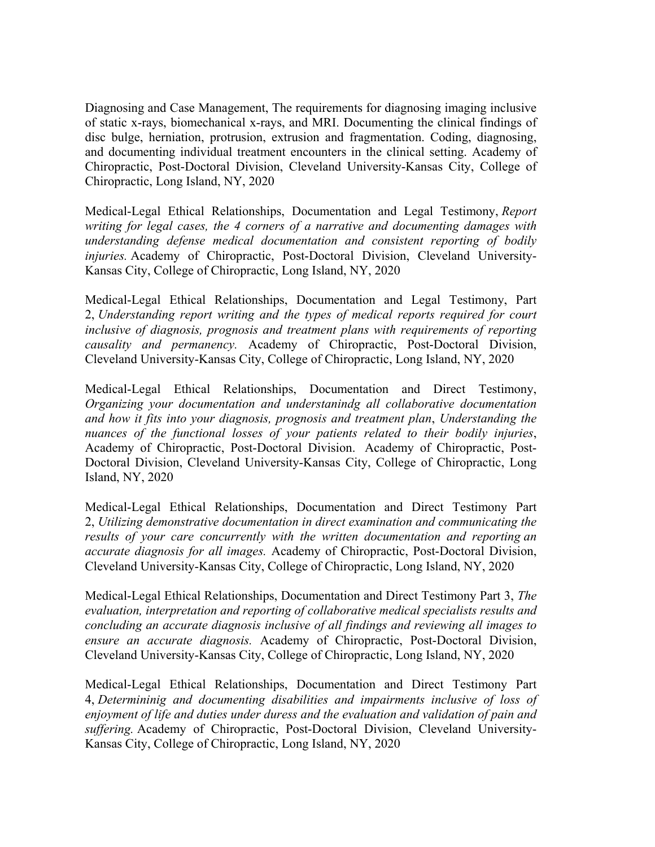Diagnosing and Case Management, The requirements for diagnosing imaging inclusive of static x-rays, biomechanical x-rays, and MRI. Documenting the clinical findings of disc bulge, herniation, protrusion, extrusion and fragmentation. Coding, diagnosing, and documenting individual treatment encounters in the clinical setting. Academy of Chiropractic, Post-Doctoral Division, Cleveland University-Kansas City, College of Chiropractic, Long Island, NY, 2020

Medical-Legal Ethical Relationships, Documentation and Legal Testimony, *Report writing for legal cases, the 4 corners of a narrative and documenting damages with understanding defense medical documentation and consistent reporting of bodily injuries.* Academy of Chiropractic, Post-Doctoral Division, Cleveland University-Kansas City, College of Chiropractic, Long Island, NY, 2020

Medical-Legal Ethical Relationships, Documentation and Legal Testimony, Part 2, *Understanding report writing and the types of medical reports required for court inclusive of diagnosis, prognosis and treatment plans with requirements of reporting causality and permanency.* Academy of Chiropractic, Post-Doctoral Division, Cleveland University-Kansas City, College of Chiropractic, Long Island, NY, 2020

Medical-Legal Ethical Relationships, Documentation and Direct Testimony, *Organizing your documentation and understanindg all collaborative documentation and how it fits into your diagnosis, prognosis and treatment plan*, *Understanding the nuances of the functional losses of your patients related to their bodily injuries*, Academy of Chiropractic, Post-Doctoral Division. Academy of Chiropractic, Post-Doctoral Division, Cleveland University-Kansas City, College of Chiropractic, Long Island, NY, 2020

Medical-Legal Ethical Relationships, Documentation and Direct Testimony Part 2, *Utilizing demonstrative documentation in direct examination and communicating the results of your care concurrently with the written documentation and reporting an accurate diagnosis for all images.* Academy of Chiropractic, Post-Doctoral Division, Cleveland University-Kansas City, College of Chiropractic, Long Island, NY, 2020

Medical-Legal Ethical Relationships, Documentation and Direct Testimony Part 3, *The evaluation, interpretation and reporting of collaborative medical specialists results and concluding an accurate diagnosis inclusive of all findings and reviewing all images to ensure an accurate diagnosis.* Academy of Chiropractic, Post-Doctoral Division, Cleveland University-Kansas City, College of Chiropractic, Long Island, NY, 2020

Medical-Legal Ethical Relationships, Documentation and Direct Testimony Part 4, *Determininig and documenting disabilities and impairments inclusive of loss of enjoyment of life and duties under duress and the evaluation and validation of pain and suffering.* Academy of Chiropractic, Post-Doctoral Division, Cleveland University-Kansas City, College of Chiropractic, Long Island, NY, 2020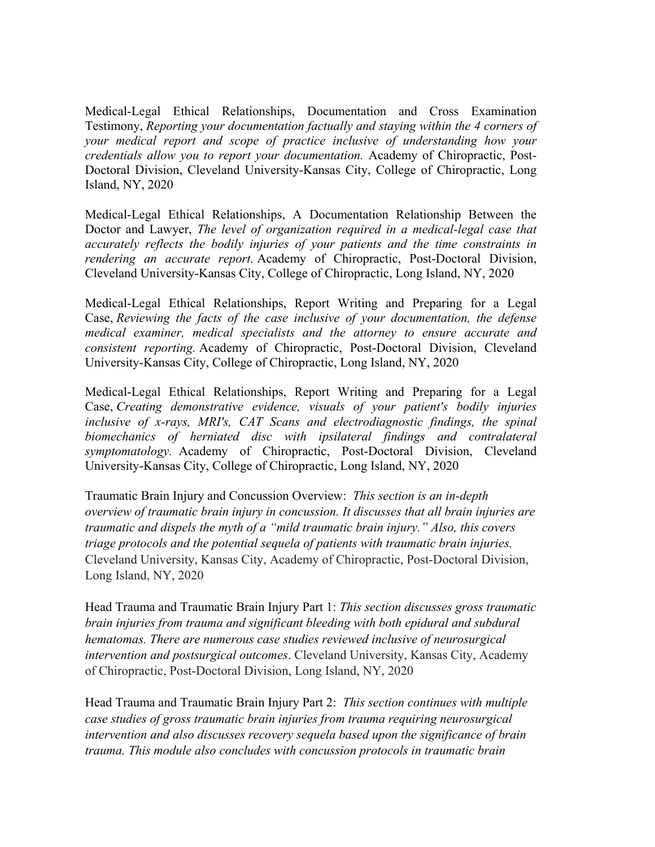Medical-Legal Ethical Relationships, Documentation and Cross Examination Testimony, *Reporting your documentation factually and staying within the 4 corners of your medical report and scope of practice inclusive of understanding how your credentials allow you to report your documentation.* Academy of Chiropractic, Post-Doctoral Division, Cleveland University-Kansas City, College of Chiropractic, Long Island, NY, 2020

Medical-Legal Ethical Relationships, A Documentation Relationship Between the Doctor and Lawyer, *The level of organization required in a medical-legal case that accurately reflects the bodily injuries of your patients and the time constraints in rendering an accurate report.* Academy of Chiropractic, Post-Doctoral Division, Cleveland University-Kansas City, College of Chiropractic, Long Island, NY, 2020

Medical-Legal Ethical Relationships, Report Writing and Preparing for a Legal Case, *Reviewing the facts of the case inclusive of your documentation, the defense medical examiner, medical specialists and the attorney to ensure accurate and consistent reporting.* Academy of Chiropractic, Post-Doctoral Division, Cleveland University-Kansas City, College of Chiropractic, Long Island, NY, 2020

Medical-Legal Ethical Relationships, Report Writing and Preparing for a Legal Case, *Creating demonstrative evidence, visuals of your patient's bodily injuries inclusive of x-rays, MRI's, CAT Scans and electrodiagnostic findings, the spinal biomechanics of herniated disc with ipsilateral findings and contralateral symptomatology.* Academy of Chiropractic, Post-Doctoral Division, Cleveland University-Kansas City, College of Chiropractic, Long Island, NY, 2020

Traumatic Brain Injury and Concussion Overview: *This section is an in-depth overview of traumatic brain injury in concussion. It discusses that all brain injuries are traumatic and dispels the myth of a "mild traumatic brain injury." Also, this covers triage protocols and the potential sequela of patients with traumatic brain injuries.* Cleveland University, Kansas City, Academy of Chiropractic, Post-Doctoral Division, Long Island, NY, 2020

Head Trauma and Traumatic Brain Injury Part 1: *This section discusses gross traumatic brain injuries from trauma and significant bleeding with both epidural and subdural hematomas. There are numerous case studies reviewed inclusive of neurosurgical intervention and postsurgical outcomes*. Cleveland University, Kansas City, Academy of Chiropractic, Post-Doctoral Division, Long Island, NY, 2020

Head Trauma and Traumatic Brain Injury Part 2: *This section continues with multiple case studies of gross traumatic brain injuries from trauma requiring neurosurgical intervention and also discusses recovery sequela based upon the significance of brain trauma. This module also concludes with concussion protocols in traumatic brain*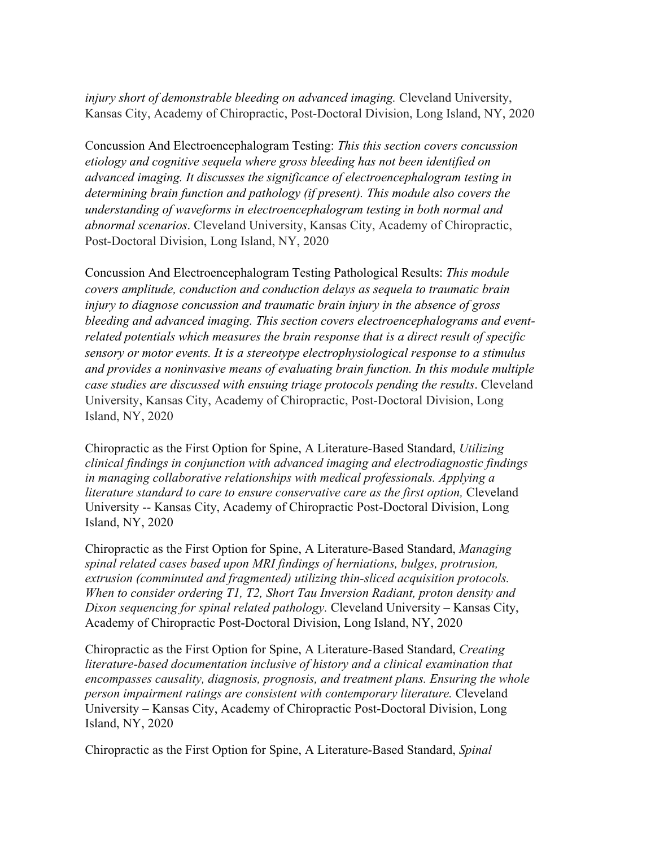*injury short of demonstrable bleeding on advanced imaging.* Cleveland University, Kansas City, Academy of Chiropractic, Post-Doctoral Division, Long Island, NY, 2020

Concussion And Electroencephalogram Testing: *This this section covers concussion etiology and cognitive sequela where gross bleeding has not been identified on advanced imaging. It discusses the significance of electroencephalogram testing in determining brain function and pathology (if present). This module also covers the understanding of waveforms in electroencephalogram testing in both normal and abnormal scenarios*. Cleveland University, Kansas City, Academy of Chiropractic, Post-Doctoral Division, Long Island, NY, 2020

Concussion And Electroencephalogram Testing Pathological Results: *This module covers amplitude, conduction and conduction delays as sequela to traumatic brain injury to diagnose concussion and traumatic brain injury in the absence of gross bleeding and advanced imaging. This section covers electroencephalograms and eventrelated potentials which measures the brain response that is a direct result of specific sensory or motor events. It is a stereotype electrophysiological response to a stimulus and provides a noninvasive means of evaluating brain function. In this module multiple case studies are discussed with ensuing triage protocols pending the results*. Cleveland University, Kansas City, Academy of Chiropractic, Post-Doctoral Division, Long Island, NY, 2020

Chiropractic as the First Option for Spine, A Literature-Based Standard, *Utilizing clinical findings in conjunction with advanced imaging and electrodiagnostic findings in managing collaborative relationships with medical professionals. Applying a literature standard to care to ensure conservative care as the first option,* Cleveland University -- Kansas City, Academy of Chiropractic Post-Doctoral Division, Long Island, NY, 2020

Chiropractic as the First Option for Spine, A Literature-Based Standard, *Managing spinal related cases based upon MRI findings of herniations, bulges, protrusion, extrusion (comminuted and fragmented) utilizing thin-sliced acquisition protocols. When to consider ordering T1, T2, Short Tau Inversion Radiant, proton density and Dixon sequencing for spinal related pathology.* Cleveland University – Kansas City, Academy of Chiropractic Post-Doctoral Division, Long Island, NY, 2020

Chiropractic as the First Option for Spine, A Literature-Based Standard, *Creating literature-based documentation inclusive of history and a clinical examination that encompasses causality, diagnosis, prognosis, and treatment plans. Ensuring the whole person impairment ratings are consistent with contemporary literature.* Cleveland University – Kansas City, Academy of Chiropractic Post-Doctoral Division, Long Island, NY, 2020

Chiropractic as the First Option for Spine, A Literature-Based Standard, *Spinal*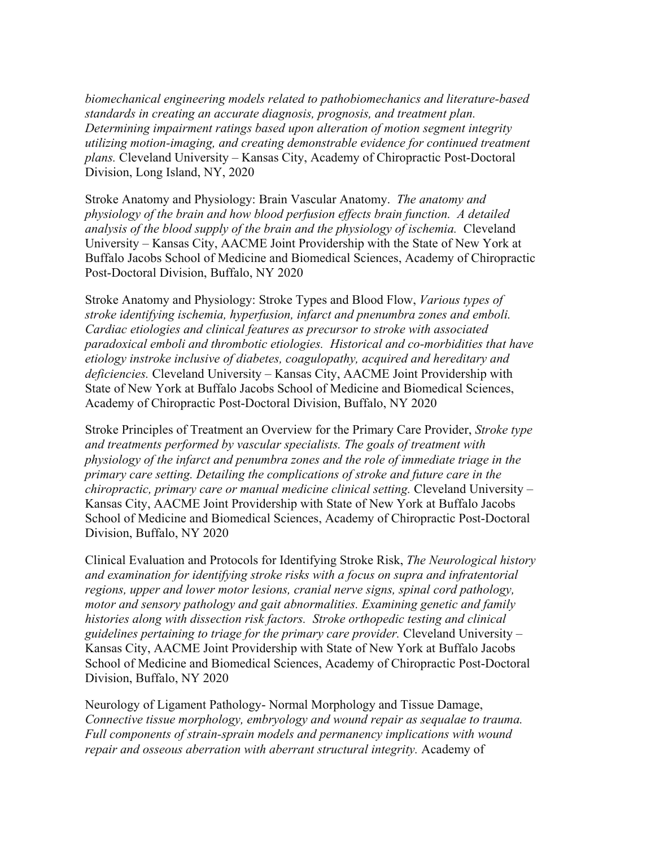*biomechanical engineering models related to pathobiomechanics and literature-based standards in creating an accurate diagnosis, prognosis, and treatment plan. Determining impairment ratings based upon alteration of motion segment integrity utilizing motion-imaging, and creating demonstrable evidence for continued treatment plans.* Cleveland University – Kansas City, Academy of Chiropractic Post-Doctoral Division, Long Island, NY, 2020

Stroke Anatomy and Physiology: Brain Vascular Anatomy. *The anatomy and physiology of the brain and how blood perfusion effects brain function. A detailed analysis of the blood supply of the brain and the physiology of ischemia.* Cleveland University – Kansas City, AACME Joint Providership with the State of New York at Buffalo Jacobs School of Medicine and Biomedical Sciences, Academy of Chiropractic Post-Doctoral Division, Buffalo, NY 2020

Stroke Anatomy and Physiology: Stroke Types and Blood Flow, *Various types of stroke identifying ischemia, hyperfusion, infarct and pnenumbra zones and emboli. Cardiac etiologies and clinical features as precursor to stroke with associated paradoxical emboli and thrombotic etiologies. Historical and co-morbidities that have etiology instroke inclusive of diabetes, coagulopathy, acquired and hereditary and deficiencies.* Cleveland University – Kansas City, AACME Joint Providership with State of New York at Buffalo Jacobs School of Medicine and Biomedical Sciences, Academy of Chiropractic Post-Doctoral Division, Buffalo, NY 2020

Stroke Principles of Treatment an Overview for the Primary Care Provider, *Stroke type and treatments performed by vascular specialists. The goals of treatment with physiology of the infarct and penumbra zones and the role of immediate triage in the primary care setting. Detailing the complications of stroke and future care in the chiropractic, primary care or manual medicine clinical setting.* Cleveland University – Kansas City, AACME Joint Providership with State of New York at Buffalo Jacobs School of Medicine and Biomedical Sciences, Academy of Chiropractic Post-Doctoral Division, Buffalo, NY 2020

Clinical Evaluation and Protocols for Identifying Stroke Risk, *The Neurological history and examination for identifying stroke risks with a focus on supra and infratentorial regions, upper and lower motor lesions, cranial nerve signs, spinal cord pathology, motor and sensory pathology and gait abnormalities. Examining genetic and family histories along with dissection risk factors. Stroke orthopedic testing and clinical guidelines pertaining to triage for the primary care provider.* Cleveland University – Kansas City, AACME Joint Providership with State of New York at Buffalo Jacobs School of Medicine and Biomedical Sciences, Academy of Chiropractic Post-Doctoral Division, Buffalo, NY 2020

Neurology of Ligament Pathology- Normal Morphology and Tissue Damage, *Connective tissue morphology, embryology and wound repair as sequalae to trauma. Full components of strain-sprain models and permanency implications with wound repair and osseous aberration with aberrant structural integrity.* Academy of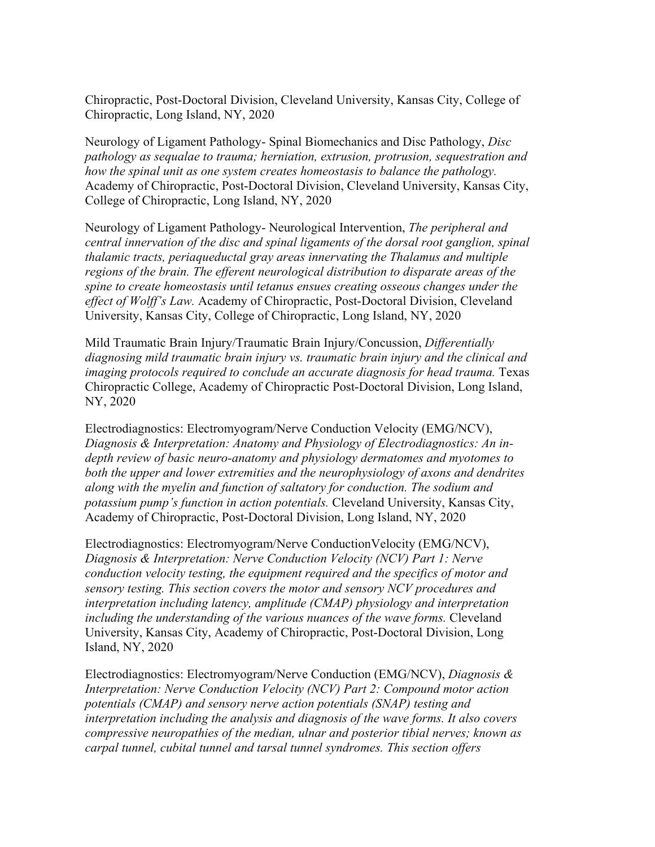Chiropractic, Post-Doctoral Division, Cleveland University, Kansas City, College of Chiropractic, Long Island, NY, 2020

Neurology of Ligament Pathology- Spinal Biomechanics and Disc Pathology, *Disc pathology as sequalae to trauma; herniation, extrusion, protrusion, sequestration and how the spinal unit as one system creates homeostasis to balance the pathology.* Academy of Chiropractic, Post-Doctoral Division, Cleveland University, Kansas City, College of Chiropractic, Long Island, NY, 2020

Neurology of Ligament Pathology- Neurological Intervention, *The peripheral and central innervation of the disc and spinal ligaments of the dorsal root ganglion, spinal thalamic tracts, periaqueductal gray areas innervating the Thalamus and multiple regions of the brain. The efferent neurological distribution to disparate areas of the spine to create homeostasis until tetanus ensues creating osseous changes under the effect of Wolff's Law.* Academy of Chiropractic, Post-Doctoral Division, Cleveland University, Kansas City, College of Chiropractic, Long Island, NY, 2020

Mild Traumatic Brain Injury/Traumatic Brain Injury/Concussion, *Differentially diagnosing mild traumatic brain injury vs. traumatic brain injury and the clinical and imaging protocols required to conclude an accurate diagnosis for head trauma.* Texas Chiropractic College, Academy of Chiropractic Post-Doctoral Division, Long Island, NY, 2020

Electrodiagnostics: Electromyogram/Nerve Conduction Velocity (EMG/NCV), *Diagnosis & Interpretation: Anatomy and Physiology of Electrodiagnostics: An indepth review of basic neuro-anatomy and physiology dermatomes and myotomes to both the upper and lower extremities and the neurophysiology of axons and dendrites along with the myelin and function of saltatory for conduction. The sodium and potassium pump's function in action potentials.* Cleveland University, Kansas City, Academy of Chiropractic, Post-Doctoral Division, Long Island, NY, 2020

Electrodiagnostics: Electromyogram/Nerve ConductionVelocity (EMG/NCV), *Diagnosis & Interpretation: Nerve Conduction Velocity (NCV) Part 1: Nerve conduction velocity testing, the equipment required and the specifics of motor and sensory testing. This section covers the motor and sensory NCV procedures and interpretation including latency, amplitude (CMAP) physiology and interpretation including the understanding of the various nuances of the wave forms.* Cleveland University, Kansas City, Academy of Chiropractic, Post-Doctoral Division, Long Island, NY, 2020

Electrodiagnostics: Electromyogram/Nerve Conduction (EMG/NCV), *Diagnosis & Interpretation: Nerve Conduction Velocity (NCV) Part 2: Compound motor action potentials (CMAP) and sensory nerve action potentials (SNAP) testing and interpretation including the analysis and diagnosis of the wave forms. It also covers compressive neuropathies of the median, ulnar and posterior tibial nerves; known as carpal tunnel, cubital tunnel and tarsal tunnel syndromes. This section offers*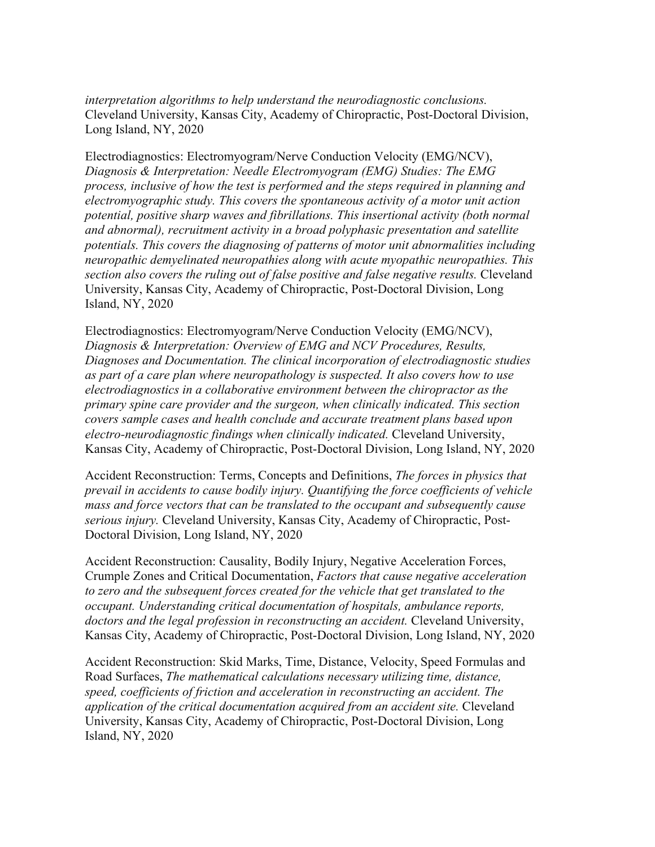*interpretation algorithms to help understand the neurodiagnostic conclusions.* Cleveland University, Kansas City, Academy of Chiropractic, Post-Doctoral Division, Long Island, NY, 2020

Electrodiagnostics: Electromyogram/Nerve Conduction Velocity (EMG/NCV), *Diagnosis & Interpretation: Needle Electromyogram (EMG) Studies: The EMG process, inclusive of how the test is performed and the steps required in planning and electromyographic study. This covers the spontaneous activity of a motor unit action potential, positive sharp waves and fibrillations. This insertional activity (both normal and abnormal), recruitment activity in a broad polyphasic presentation and satellite potentials. This covers the diagnosing of patterns of motor unit abnormalities including neuropathic demyelinated neuropathies along with acute myopathic neuropathies. This section also covers the ruling out of false positive and false negative results.* Cleveland University, Kansas City, Academy of Chiropractic, Post-Doctoral Division, Long Island, NY, 2020

Electrodiagnostics: Electromyogram/Nerve Conduction Velocity (EMG/NCV), *Diagnosis & Interpretation: Overview of EMG and NCV Procedures, Results, Diagnoses and Documentation. The clinical incorporation of electrodiagnostic studies as part of a care plan where neuropathology is suspected. It also covers how to use electrodiagnostics in a collaborative environment between the chiropractor as the primary spine care provider and the surgeon, when clinically indicated. This section covers sample cases and health conclude and accurate treatment plans based upon electro-neurodiagnostic findings when clinically indicated.* Cleveland University, Kansas City, Academy of Chiropractic, Post-Doctoral Division, Long Island, NY, 2020

Accident Reconstruction: Terms, Concepts and Definitions, *The forces in physics that prevail in accidents to cause bodily injury. Quantifying the force coefficients of vehicle mass and force vectors that can be translated to the occupant and subsequently cause serious injury.* Cleveland University, Kansas City, Academy of Chiropractic, Post-Doctoral Division, Long Island, NY, 2020

Accident Reconstruction: Causality, Bodily Injury, Negative Acceleration Forces, Crumple Zones and Critical Documentation, *Factors that cause negative acceleration to zero and the subsequent forces created for the vehicle that get translated to the occupant. Understanding critical documentation of hospitals, ambulance reports, doctors and the legal profession in reconstructing an accident.* Cleveland University, Kansas City, Academy of Chiropractic, Post-Doctoral Division, Long Island, NY, 2020

Accident Reconstruction: Skid Marks, Time, Distance, Velocity, Speed Formulas and Road Surfaces, *The mathematical calculations necessary utilizing time, distance, speed, coefficients of friction and acceleration in reconstructing an accident. The application of the critical documentation acquired from an accident site.* Cleveland University, Kansas City, Academy of Chiropractic, Post-Doctoral Division, Long Island, NY, 2020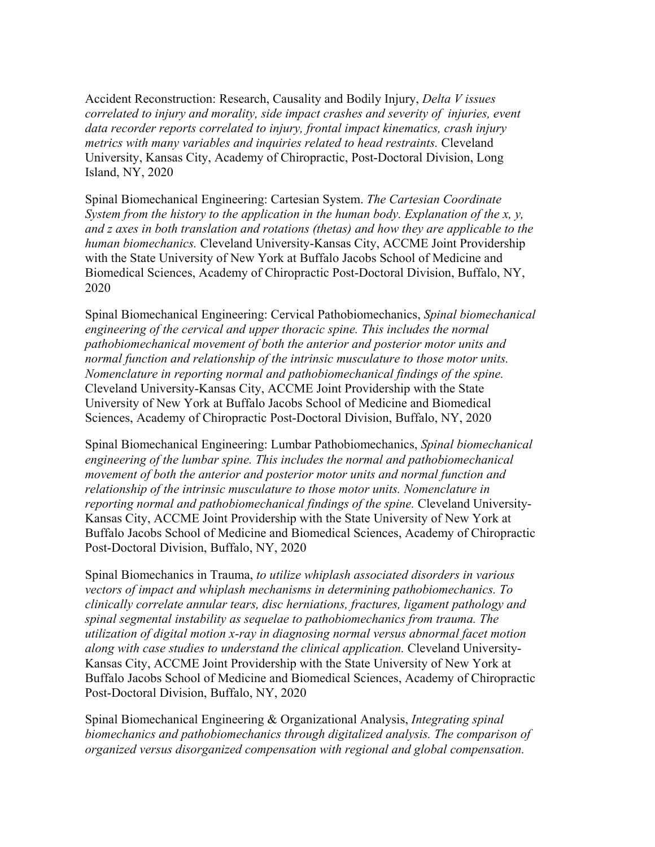Accident Reconstruction: Research, Causality and Bodily Injury, *Delta V issues correlated to injury and morality, side impact crashes and severity of injuries, event data recorder reports correlated to injury, frontal impact kinematics, crash injury metrics with many variables and inquiries related to head restraints.* Cleveland University, Kansas City, Academy of Chiropractic, Post-Doctoral Division, Long Island, NY, 2020

Spinal Biomechanical Engineering: Cartesian System. *The Cartesian Coordinate System from the history to the application in the human body. Explanation of the x, y, and z axes in both translation and rotations (thetas) and how they are applicable to the human biomechanics.* Cleveland University-Kansas City, ACCME Joint Providership with the State University of New York at Buffalo Jacobs School of Medicine and Biomedical Sciences, Academy of Chiropractic Post-Doctoral Division, Buffalo, NY, 2020

Spinal Biomechanical Engineering: Cervical Pathobiomechanics, *Spinal biomechanical engineering of the cervical and upper thoracic spine. This includes the normal pathobiomechanical movement of both the anterior and posterior motor units and normal function and relationship of the intrinsic musculature to those motor units. Nomenclature in reporting normal and pathobiomechanical findings of the spine.* Cleveland University-Kansas City, ACCME Joint Providership with the State University of New York at Buffalo Jacobs School of Medicine and Biomedical Sciences, Academy of Chiropractic Post-Doctoral Division, Buffalo, NY, 2020

Spinal Biomechanical Engineering: Lumbar Pathobiomechanics, *Spinal biomechanical engineering of the lumbar spine. This includes the normal and pathobiomechanical movement of both the anterior and posterior motor units and normal function and relationship of the intrinsic musculature to those motor units. Nomenclature in reporting normal and pathobiomechanical findings of the spine.* Cleveland University-Kansas City, ACCME Joint Providership with the State University of New York at Buffalo Jacobs School of Medicine and Biomedical Sciences, Academy of Chiropractic Post-Doctoral Division, Buffalo, NY, 2020

Spinal Biomechanics in Trauma, *to utilize whiplash associated disorders in various vectors of impact and whiplash mechanisms in determining pathobiomechanics. To clinically correlate annular tears, disc herniations, fractures, ligament pathology and spinal segmental instability as sequelae to pathobiomechanics from trauma. The utilization of digital motion x-ray in diagnosing normal versus abnormal facet motion along with case studies to understand the clinical application.* Cleveland University-Kansas City, ACCME Joint Providership with the State University of New York at Buffalo Jacobs School of Medicine and Biomedical Sciences, Academy of Chiropractic Post-Doctoral Division, Buffalo, NY, 2020

Spinal Biomechanical Engineering & Organizational Analysis, *Integrating spinal biomechanics and pathobiomechanics through digitalized analysis. The comparison of organized versus disorganized compensation with regional and global compensation.*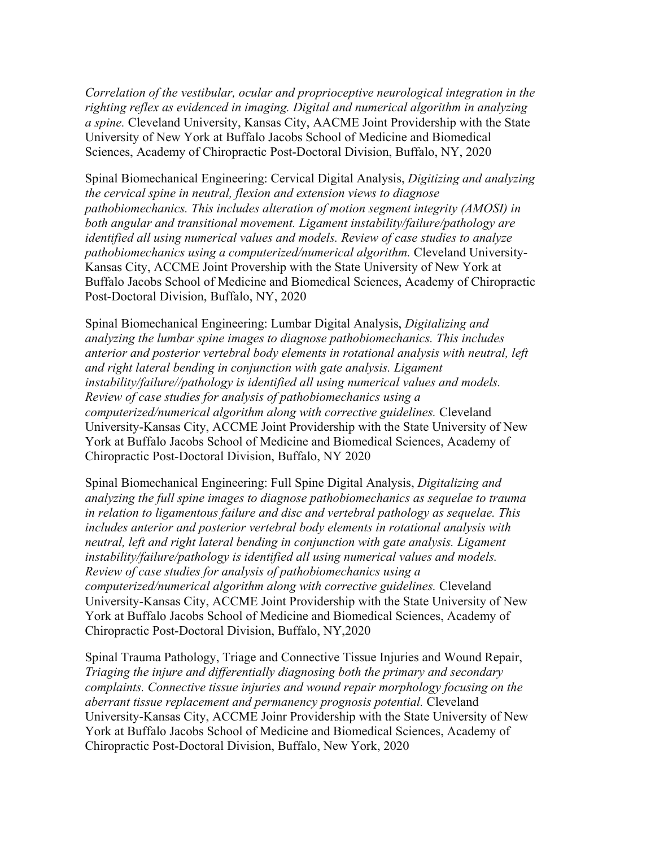*Correlation of the vestibular, ocular and proprioceptive neurological integration in the righting reflex as evidenced in imaging. Digital and numerical algorithm in analyzing a spine.* Cleveland University, Kansas City, AACME Joint Providership with the State University of New York at Buffalo Jacobs School of Medicine and Biomedical Sciences, Academy of Chiropractic Post-Doctoral Division, Buffalo, NY, 2020

Spinal Biomechanical Engineering: Cervical Digital Analysis, *Digitizing and analyzing the cervical spine in neutral, flexion and extension views to diagnose pathobiomechanics. This includes alteration of motion segment integrity (AMOSI) in both angular and transitional movement. Ligament instability/failure/pathology are identified all using numerical values and models. Review of case studies to analyze pathobiomechanics using a computerized/numerical algorithm.* Cleveland University-Kansas City, ACCME Joint Provership with the State University of New York at Buffalo Jacobs School of Medicine and Biomedical Sciences, Academy of Chiropractic Post-Doctoral Division, Buffalo, NY, 2020

Spinal Biomechanical Engineering: Lumbar Digital Analysis, *Digitalizing and analyzing the lumbar spine images to diagnose pathobiomechanics. This includes anterior and posterior vertebral body elements in rotational analysis with neutral, left and right lateral bending in conjunction with gate analysis. Ligament instability/failure//pathology is identified all using numerical values and models. Review of case studies for analysis of pathobiomechanics using a computerized/numerical algorithm along with corrective guidelines.* Cleveland University-Kansas City, ACCME Joint Providership with the State University of New York at Buffalo Jacobs School of Medicine and Biomedical Sciences, Academy of Chiropractic Post-Doctoral Division, Buffalo, NY 2020

Spinal Biomechanical Engineering: Full Spine Digital Analysis, *Digitalizing and analyzing the full spine images to diagnose pathobiomechanics as sequelae to trauma in relation to ligamentous failure and disc and vertebral pathology as sequelae. This includes anterior and posterior vertebral body elements in rotational analysis with neutral, left and right lateral bending in conjunction with gate analysis. Ligament instability/failure/pathology is identified all using numerical values and models. Review of case studies for analysis of pathobiomechanics using a computerized/numerical algorithm along with corrective guidelines.* Cleveland University-Kansas City, ACCME Joint Providership with the State University of New York at Buffalo Jacobs School of Medicine and Biomedical Sciences, Academy of Chiropractic Post-Doctoral Division, Buffalo, NY,2020

Spinal Trauma Pathology, Triage and Connective Tissue Injuries and Wound Repair, *Triaging the injure and differentially diagnosing both the primary and secondary complaints. Connective tissue injuries and wound repair morphology focusing on the aberrant tissue replacement and permanency prognosis potential.* Cleveland University-Kansas City, ACCME Joinr Providership with the State University of New York at Buffalo Jacobs School of Medicine and Biomedical Sciences, Academy of Chiropractic Post-Doctoral Division, Buffalo, New York, 2020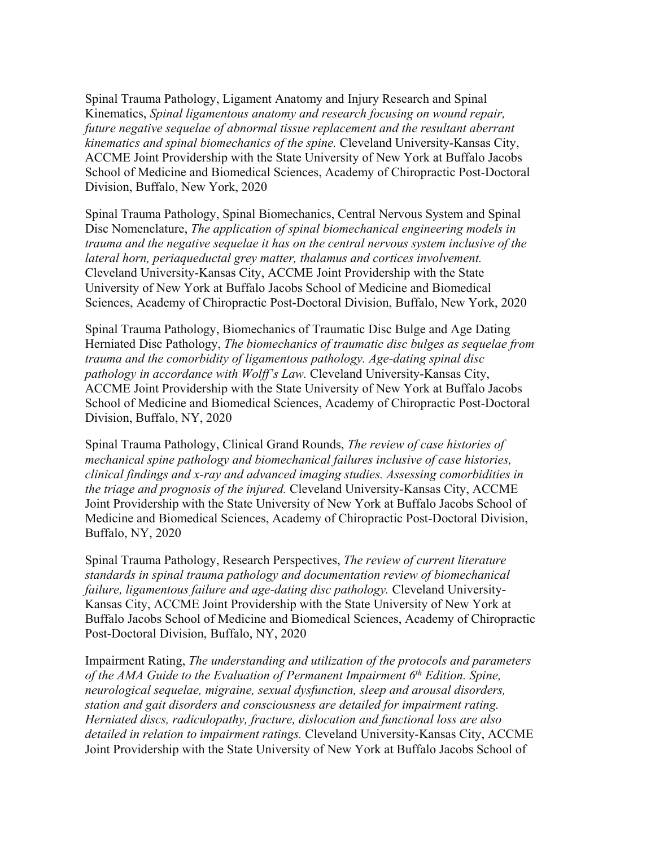Spinal Trauma Pathology, Ligament Anatomy and Injury Research and Spinal Kinematics, *Spinal ligamentous anatomy and research focusing on wound repair, future negative sequelae of abnormal tissue replacement and the resultant aberrant kinematics and spinal biomechanics of the spine.* Cleveland University-Kansas City, ACCME Joint Providership with the State University of New York at Buffalo Jacobs School of Medicine and Biomedical Sciences, Academy of Chiropractic Post-Doctoral Division, Buffalo, New York, 2020

Spinal Trauma Pathology, Spinal Biomechanics, Central Nervous System and Spinal Disc Nomenclature, *The application of spinal biomechanical engineering models in trauma and the negative sequelae it has on the central nervous system inclusive of the lateral horn, periaqueductal grey matter, thalamus and cortices involvement.* Cleveland University-Kansas City, ACCME Joint Providership with the State University of New York at Buffalo Jacobs School of Medicine and Biomedical Sciences, Academy of Chiropractic Post-Doctoral Division, Buffalo, New York, 2020

Spinal Trauma Pathology, Biomechanics of Traumatic Disc Bulge and Age Dating Herniated Disc Pathology, *The biomechanics of traumatic disc bulges as sequelae from trauma and the comorbidity of ligamentous pathology. Age-dating spinal disc pathology in accordance with Wolff's Law.* Cleveland University-Kansas City, ACCME Joint Providership with the State University of New York at Buffalo Jacobs School of Medicine and Biomedical Sciences, Academy of Chiropractic Post-Doctoral Division, Buffalo, NY, 2020

Spinal Trauma Pathology, Clinical Grand Rounds, *The review of case histories of mechanical spine pathology and biomechanical failures inclusive of case histories, clinical findings and x-ray and advanced imaging studies. Assessing comorbidities in the triage and prognosis of the injured.* Cleveland University-Kansas City, ACCME Joint Providership with the State University of New York at Buffalo Jacobs School of Medicine and Biomedical Sciences, Academy of Chiropractic Post-Doctoral Division, Buffalo, NY, 2020

Spinal Trauma Pathology, Research Perspectives, *The review of current literature standards in spinal trauma pathology and documentation review of biomechanical failure, ligamentous failure and age-dating disc pathology.* Cleveland University-Kansas City, ACCME Joint Providership with the State University of New York at Buffalo Jacobs School of Medicine and Biomedical Sciences, Academy of Chiropractic Post-Doctoral Division, Buffalo, NY, 2020

Impairment Rating, *The understanding and utilization of the protocols and parameters of the AMA Guide to the Evaluation of Permanent Impairment 6 th Edition. Spine, neurological sequelae, migraine, sexual dysfunction, sleep and arousal disorders, station and gait disorders and consciousness are detailed for impairment rating. Herniated discs, radiculopathy, fracture, dislocation and functional loss are also detailed in relation to impairment ratings.* Cleveland University-Kansas City, ACCME Joint Providership with the State University of New York at Buffalo Jacobs School of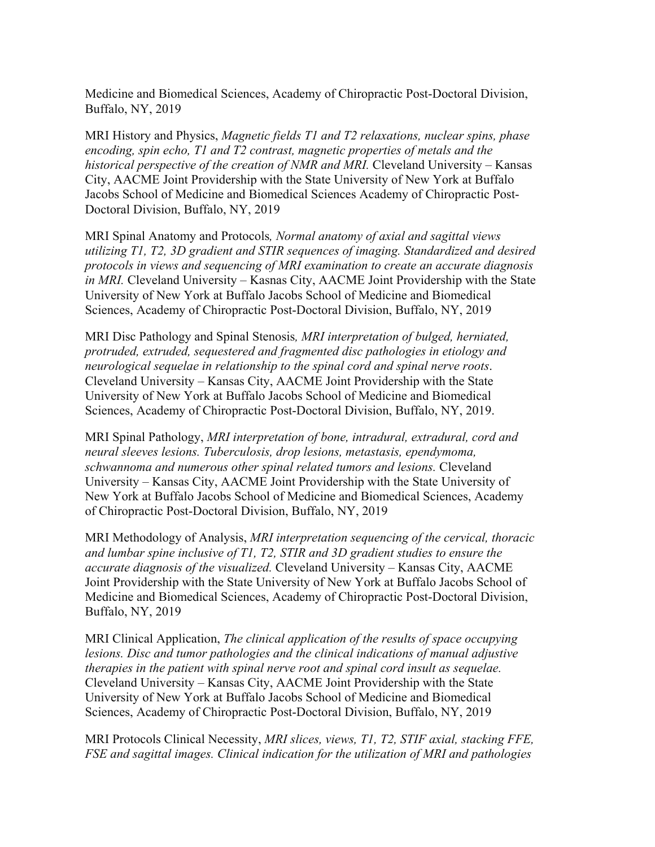Medicine and Biomedical Sciences, Academy of Chiropractic Post-Doctoral Division, Buffalo, NY, 2019

MRI History and Physics, *Magnetic fields T1 and T2 relaxations, nuclear spins, phase encoding, spin echo, T1 and T2 contrast, magnetic properties of metals and the historical perspective of the creation of NMR and MRI.* Cleveland University – Kansas City, AACME Joint Providership with the State University of New York at Buffalo Jacobs School of Medicine and Biomedical Sciences Academy of Chiropractic Post-Doctoral Division, Buffalo, NY, 2019

MRI Spinal Anatomy and Protocols*, Normal anatomy of axial and sagittal views utilizing T1, T2, 3D gradient and STIR sequences of imaging. Standardized and desired protocols in views and sequencing of MRI examination to create an accurate diagnosis in MRI.* Cleveland University – Kasnas City, AACME Joint Providership with the State University of New York at Buffalo Jacobs School of Medicine and Biomedical Sciences, Academy of Chiropractic Post-Doctoral Division, Buffalo, NY, 2019

MRI Disc Pathology and Spinal Stenosis*, MRI interpretation of bulged, herniated, protruded, extruded, sequestered and fragmented disc pathologies in etiology and neurological sequelae in relationship to the spinal cord and spinal nerve roots*. Cleveland University – Kansas City, AACME Joint Providership with the State University of New York at Buffalo Jacobs School of Medicine and Biomedical Sciences, Academy of Chiropractic Post-Doctoral Division, Buffalo, NY, 2019.

MRI Spinal Pathology, *MRI interpretation of bone, intradural, extradural, cord and neural sleeves lesions. Tuberculosis, drop lesions, metastasis, ependymoma, schwannoma and numerous other spinal related tumors and lesions.* Cleveland University – Kansas City, AACME Joint Providership with the State University of New York at Buffalo Jacobs School of Medicine and Biomedical Sciences, Academy of Chiropractic Post-Doctoral Division, Buffalo, NY, 2019

MRI Methodology of Analysis, *MRI interpretation sequencing of the cervical, thoracic and lumbar spine inclusive of T1, T2, STIR and 3D gradient studies to ensure the accurate diagnosis of the visualized.* Cleveland University – Kansas City, AACME Joint Providership with the State University of New York at Buffalo Jacobs School of Medicine and Biomedical Sciences, Academy of Chiropractic Post-Doctoral Division, Buffalo, NY, 2019

MRI Clinical Application, *The clinical application of the results of space occupying lesions. Disc and tumor pathologies and the clinical indications of manual adjustive therapies in the patient with spinal nerve root and spinal cord insult as sequelae.* Cleveland University – Kansas City, AACME Joint Providership with the State University of New York at Buffalo Jacobs School of Medicine and Biomedical Sciences, Academy of Chiropractic Post-Doctoral Division, Buffalo, NY, 2019

MRI Protocols Clinical Necessity, *MRI slices, views, T1, T2, STIF axial, stacking FFE, FSE and sagittal images. Clinical indication for the utilization of MRI and pathologies*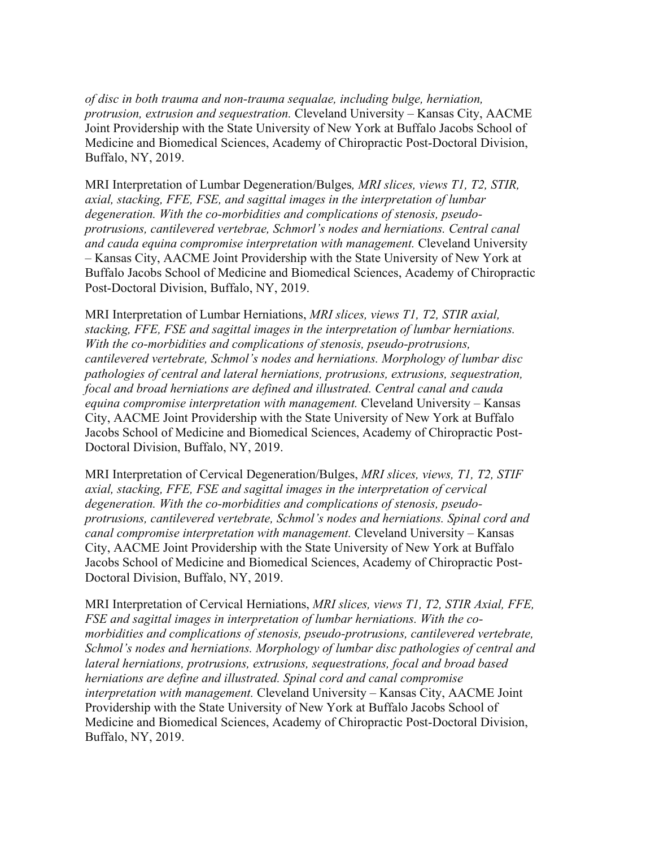*of disc in both trauma and non-trauma sequalae, including bulge, herniation, protrusion, extrusion and sequestration.* Cleveland University – Kansas City, AACME Joint Providership with the State University of New York at Buffalo Jacobs School of Medicine and Biomedical Sciences, Academy of Chiropractic Post-Doctoral Division, Buffalo, NY, 2019.

MRI Interpretation of Lumbar Degeneration/Bulges*, MRI slices, views T1, T2, STIR, axial, stacking, FFE, FSE, and sagittal images in the interpretation of lumbar degeneration. With the co-morbidities and complications of stenosis, pseudoprotrusions, cantilevered vertebrae, Schmorl's nodes and herniations. Central canal and cauda equina compromise interpretation with management.* Cleveland University – Kansas City, AACME Joint Providership with the State University of New York at Buffalo Jacobs School of Medicine and Biomedical Sciences, Academy of Chiropractic Post-Doctoral Division, Buffalo, NY, 2019.

MRI Interpretation of Lumbar Herniations, *MRI slices, views T1, T2, STIR axial, stacking, FFE, FSE and sagittal images in the interpretation of lumbar herniations. With the co-morbidities and complications of stenosis, pseudo-protrusions, cantilevered vertebrate, Schmol's nodes and herniations. Morphology of lumbar disc pathologies of central and lateral herniations, protrusions, extrusions, sequestration, focal and broad herniations are defined and illustrated. Central canal and cauda equina compromise interpretation with management.* Cleveland University – Kansas City, AACME Joint Providership with the State University of New York at Buffalo Jacobs School of Medicine and Biomedical Sciences, Academy of Chiropractic Post-Doctoral Division, Buffalo, NY, 2019.

MRI Interpretation of Cervical Degeneration/Bulges, *MRI slices, views, T1, T2, STIF axial, stacking, FFE, FSE and sagittal images in the interpretation of cervical degeneration. With the co-morbidities and complications of stenosis, pseudoprotrusions, cantilevered vertebrate, Schmol's nodes and herniations. Spinal cord and canal compromise interpretation with management.* Cleveland University – Kansas City, AACME Joint Providership with the State University of New York at Buffalo Jacobs School of Medicine and Biomedical Sciences, Academy of Chiropractic Post-Doctoral Division, Buffalo, NY, 2019.

MRI Interpretation of Cervical Herniations, *MRI slices, views T1, T2, STIR Axial, FFE, FSE and sagittal images in interpretation of lumbar herniations. With the comorbidities and complications of stenosis, pseudo-protrusions, cantilevered vertebrate, Schmol's nodes and herniations. Morphology of lumbar disc pathologies of central and lateral herniations, protrusions, extrusions, sequestrations, focal and broad based herniations are define and illustrated. Spinal cord and canal compromise interpretation with management.* Cleveland University – Kansas City, AACME Joint Providership with the State University of New York at Buffalo Jacobs School of Medicine and Biomedical Sciences, Academy of Chiropractic Post-Doctoral Division, Buffalo, NY, 2019.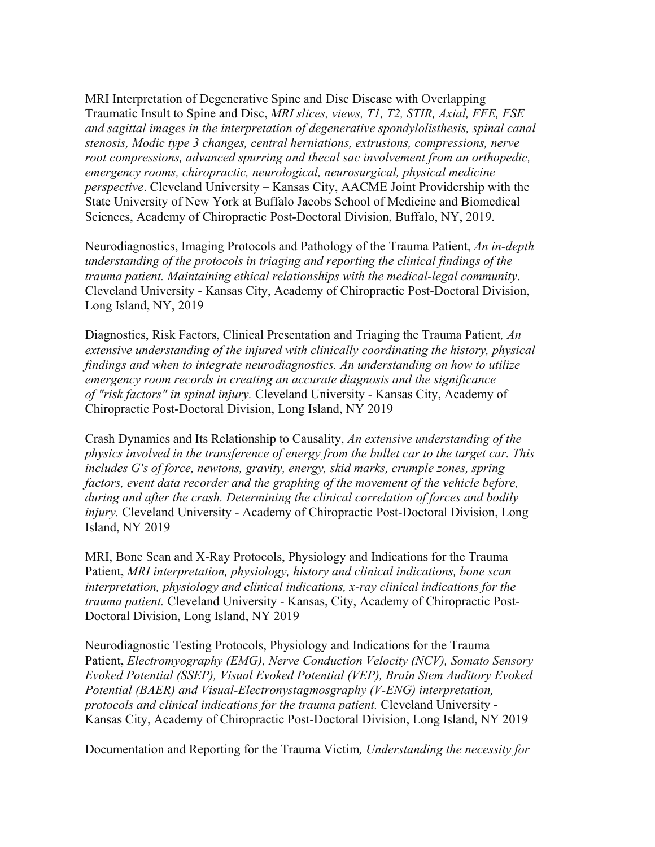MRI Interpretation of Degenerative Spine and Disc Disease with Overlapping Traumatic Insult to Spine and Disc, *MRI slices, views, T1, T2, STIR, Axial, FFE, FSE and sagittal images in the interpretation of degenerative spondylolisthesis, spinal canal stenosis, Modic type 3 changes, central herniations, extrusions, compressions, nerve root compressions, advanced spurring and thecal sac involvement from an orthopedic, emergency rooms, chiropractic, neurological, neurosurgical, physical medicine perspective*. Cleveland University – Kansas City, AACME Joint Providership with the State University of New York at Buffalo Jacobs School of Medicine and Biomedical Sciences, Academy of Chiropractic Post-Doctoral Division, Buffalo, NY, 2019.

Neurodiagnostics, Imaging Protocols and Pathology of the Trauma Patient, *An in-depth understanding of the protocols in triaging and reporting the clinical findings of the trauma patient. Maintaining ethical relationships with the medical-legal community*. Cleveland University - Kansas City, Academy of Chiropractic Post-Doctoral Division, Long Island, NY, 2019

Diagnostics, Risk Factors, Clinical Presentation and Triaging the Trauma Patient*, An extensive understanding of the injured with clinically coordinating the history, physical findings and when to integrate neurodiagnostics. An understanding on how to utilize emergency room records in creating an accurate diagnosis and the significance of "risk factors" in spinal injury.* Cleveland University - Kansas City, Academy of Chiropractic Post-Doctoral Division, Long Island, NY 2019

Crash Dynamics and Its Relationship to Causality, *An extensive understanding of the physics involved in the transference of energy from the bullet car to the target car. This includes G's of force, newtons, gravity, energy, skid marks, crumple zones, spring factors, event data recorder and the graphing of the movement of the vehicle before, during and after the crash. Determining the clinical correlation of forces and bodily injury.* Cleveland University - Academy of Chiropractic Post-Doctoral Division, Long Island, NY 2019

MRI, Bone Scan and X-Ray Protocols, Physiology and Indications for the Trauma Patient, *MRI interpretation, physiology, history and clinical indications, bone scan interpretation, physiology and clinical indications, x-ray clinical indications for the trauma patient.* Cleveland University - Kansas, City, Academy of Chiropractic Post-Doctoral Division, Long Island, NY 2019

Neurodiagnostic Testing Protocols, Physiology and Indications for the Trauma Patient, *Electromyography (EMG), Nerve Conduction Velocity (NCV), Somato Sensory Evoked Potential (SSEP), Visual Evoked Potential (VEP), Brain Stem Auditory Evoked Potential (BAER) and Visual-Electronystagmosgraphy (V-ENG) interpretation, protocols and clinical indications for the trauma patient.* Cleveland University - Kansas City, Academy of Chiropractic Post-Doctoral Division, Long Island, NY 2019

Documentation and Reporting for the Trauma Victim*, Understanding the necessity for*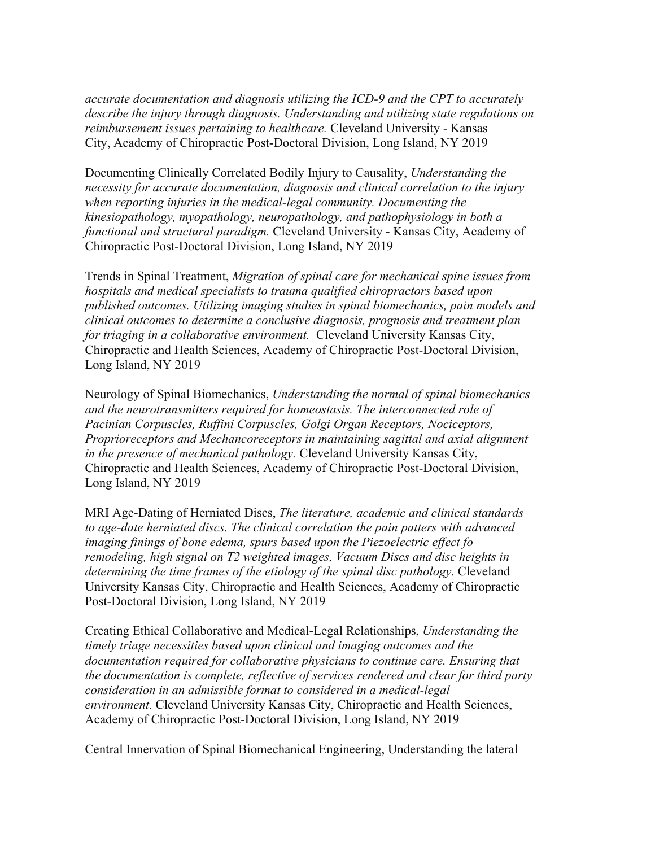*accurate documentation and diagnosis utilizing the ICD-9 and the CPT to accurately describe the injury through diagnosis. Understanding and utilizing state regulations on reimbursement issues pertaining to healthcare.* Cleveland University - Kansas City, Academy of Chiropractic Post-Doctoral Division, Long Island, NY 2019

Documenting Clinically Correlated Bodily Injury to Causality, *Understanding the necessity for accurate documentation, diagnosis and clinical correlation to the injury when reporting injuries in the medical-legal community. Documenting the kinesiopathology, myopathology, neuropathology, and pathophysiology in both a functional and structural paradigm.* Cleveland University - Kansas City, Academy of Chiropractic Post-Doctoral Division, Long Island, NY 2019

Trends in Spinal Treatment, *Migration of spinal care for mechanical spine issues from hospitals and medical specialists to trauma qualified chiropractors based upon published outcomes. Utilizing imaging studies in spinal biomechanics, pain models and clinical outcomes to determine a conclusive diagnosis, prognosis and treatment plan for triaging in a collaborative environment.* Cleveland University Kansas City, Chiropractic and Health Sciences, Academy of Chiropractic Post-Doctoral Division, Long Island, NY 2019

Neurology of Spinal Biomechanics, *Understanding the normal of spinal biomechanics and the neurotransmitters required for homeostasis. The interconnected role of Pacinian Corpuscles, Ruffini Corpuscles, Golgi Organ Receptors, Nociceptors, Proprioreceptors and Mechancoreceptors in maintaining sagittal and axial alignment in the presence of mechanical pathology.* Cleveland University Kansas City, Chiropractic and Health Sciences, Academy of Chiropractic Post-Doctoral Division, Long Island, NY 2019

MRI Age-Dating of Herniated Discs, *The literature, academic and clinical standards to age-date herniated discs. The clinical correlation the pain patters with advanced imaging finings of bone edema, spurs based upon the Piezoelectric effect fo remodeling, high signal on T2 weighted images, Vacuum Discs and disc heights in determining the time frames of the etiology of the spinal disc pathology.* Cleveland University Kansas City, Chiropractic and Health Sciences, Academy of Chiropractic Post-Doctoral Division, Long Island, NY 2019

Creating Ethical Collaborative and Medical-Legal Relationships, *Understanding the timely triage necessities based upon clinical and imaging outcomes and the documentation required for collaborative physicians to continue care. Ensuring that the documentation is complete, reflective of services rendered and clear for third party consideration in an admissible format to considered in a medical-legal environment.* Cleveland University Kansas City, Chiropractic and Health Sciences, Academy of Chiropractic Post-Doctoral Division, Long Island, NY 2019

Central Innervation of Spinal Biomechanical Engineering, Understanding the lateral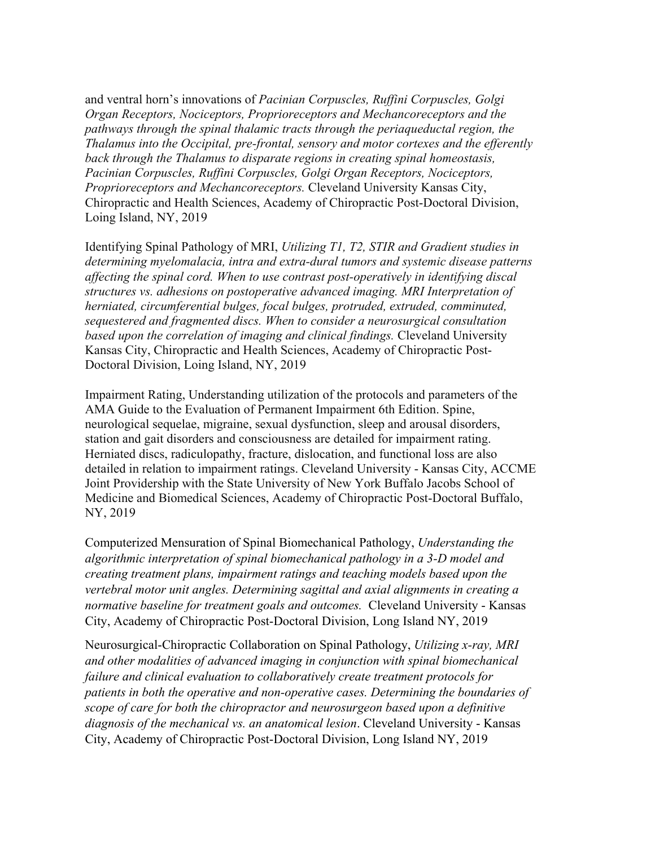and ventral horn's innovations of *Pacinian Corpuscles, Ruffini Corpuscles, Golgi Organ Receptors, Nociceptors, Proprioreceptors and Mechancoreceptors and the pathways through the spinal thalamic tracts through the periaqueductal region, the Thalamus into the Occipital, pre-frontal, sensory and motor cortexes and the efferently back through the Thalamus to disparate regions in creating spinal homeostasis, Pacinian Corpuscles, Ruffini Corpuscles, Golgi Organ Receptors, Nociceptors, Proprioreceptors and Mechancoreceptors.* Cleveland University Kansas City, Chiropractic and Health Sciences, Academy of Chiropractic Post-Doctoral Division, Loing Island, NY, 2019

Identifying Spinal Pathology of MRI, *Utilizing T1, T2, STIR and Gradient studies in determining myelomalacia, intra and extra-dural tumors and systemic disease patterns affecting the spinal cord. When to use contrast post-operatively in identifying discal structures vs. adhesions on postoperative advanced imaging. MRI Interpretation of herniated, circumferential bulges, focal bulges, protruded, extruded, comminuted, sequestered and fragmented discs. When to consider a neurosurgical consultation based upon the correlation of imaging and clinical findings.* Cleveland University Kansas City, Chiropractic and Health Sciences, Academy of Chiropractic Post-Doctoral Division, Loing Island, NY, 2019

Impairment Rating, Understanding utilization of the protocols and parameters of the AMA Guide to the Evaluation of Permanent Impairment 6th Edition. Spine, neurological sequelae, migraine, sexual dysfunction, sleep and arousal disorders, station and gait disorders and consciousness are detailed for impairment rating. Herniated discs, radiculopathy, fracture, dislocation, and functional loss are also detailed in relation to impairment ratings. Cleveland University - Kansas City, ACCME Joint Providership with the State University of New York Buffalo Jacobs School of Medicine and Biomedical Sciences, Academy of Chiropractic Post-Doctoral Buffalo, NY, 2019

Computerized Mensuration of Spinal Biomechanical Pathology, *Understanding the algorithmic interpretation of spinal biomechanical pathology in a 3-D model and creating treatment plans, impairment ratings and teaching models based upon the vertebral motor unit angles. Determining sagittal and axial alignments in creating a normative baseline for treatment goals and outcomes.* Cleveland University - Kansas City, Academy of Chiropractic Post-Doctoral Division, Long Island NY, 2019

Neurosurgical-Chiropractic Collaboration on Spinal Pathology, *Utilizing x-ray, MRI and other modalities of advanced imaging in conjunction with spinal biomechanical failure and clinical evaluation to collaboratively create treatment protocols for patients in both the operative and non-operative cases. Determining the boundaries of scope of care for both the chiropractor and neurosurgeon based upon a definitive diagnosis of the mechanical vs. an anatomical lesion*. Cleveland University - Kansas City, Academy of Chiropractic Post-Doctoral Division, Long Island NY, 2019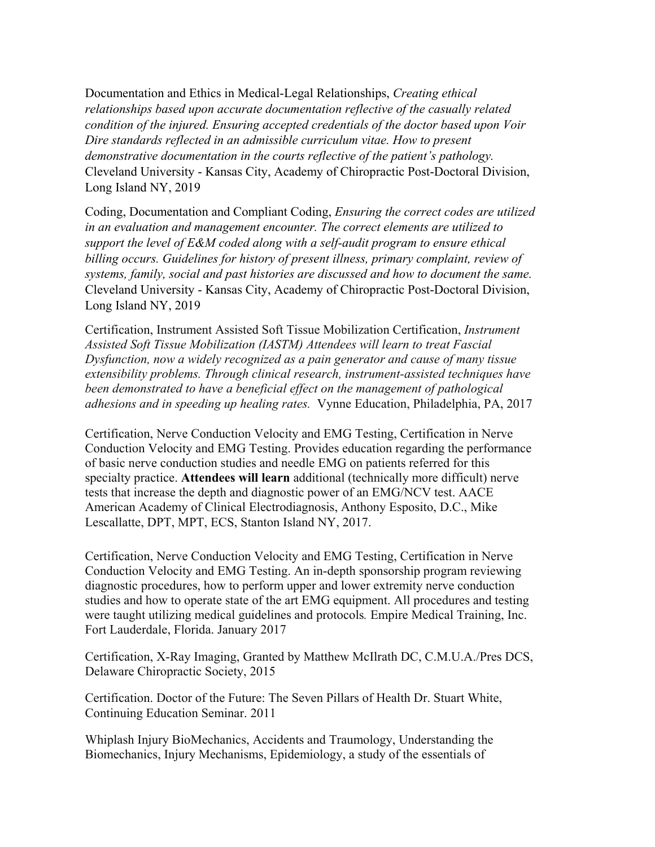Documentation and Ethics in Medical-Legal Relationships, *Creating ethical relationships based upon accurate documentation reflective of the casually related condition of the injured. Ensuring accepted credentials of the doctor based upon Voir Dire standards reflected in an admissible curriculum vitae. How to present demonstrative documentation in the courts reflective of the patient's pathology.* Cleveland University - Kansas City, Academy of Chiropractic Post-Doctoral Division, Long Island NY, 2019

Coding, Documentation and Compliant Coding, *Ensuring the correct codes are utilized in an evaluation and management encounter. The correct elements are utilized to support the level of E&M coded along with a self-audit program to ensure ethical billing occurs. Guidelines for history of present illness, primary complaint, review of systems, family, social and past histories are discussed and how to document the same.* Cleveland University - Kansas City, Academy of Chiropractic Post-Doctoral Division, Long Island NY, 2019

Certification, Instrument Assisted Soft Tissue Mobilization Certification, *Instrument Assisted Soft Tissue Mobilization (IASTM) Attendees will learn to treat Fascial Dysfunction, now a widely recognized as a pain generator and cause of many tissue extensibility problems. Through clinical research, instrument-assisted techniques have been demonstrated to have a beneficial effect on the management of pathological adhesions and in speeding up healing rates.* Vynne Education, Philadelphia, PA, 2017

Certification, Nerve Conduction Velocity and EMG Testing, Certification in Nerve Conduction Velocity and EMG Testing. Provides education regarding the performance of basic nerve conduction studies and needle EMG on patients referred for this specialty practice. **Attendees will learn** additional (technically more difficult) nerve tests that increase the depth and diagnostic power of an EMG/NCV test. AACE American Academy of Clinical Electrodiagnosis, Anthony Esposito, D.C., Mike Lescallatte, DPT, MPT, ECS, Stanton Island NY, 2017.

Certification, Nerve Conduction Velocity and EMG Testing, Certification in Nerve Conduction Velocity and EMG Testing. An in-depth sponsorship program reviewing diagnostic procedures, how to perform upper and lower extremity nerve conduction studies and how to operate state of the art EMG equipment. All procedures and testing were taught utilizing medical guidelines and protocols*.* Empire Medical Training, Inc. Fort Lauderdale, Florida. January 2017

Certification, X-Ray Imaging, Granted by Matthew McIlrath DC, C.M.U.A./Pres DCS, Delaware Chiropractic Society, 2015

Certification. Doctor of the Future: The Seven Pillars of Health Dr. Stuart White, Continuing Education Seminar. 2011

Whiplash Injury BioMechanics, Accidents and Traumology, Understanding the Biomechanics, Injury Mechanisms, Epidemiology, a study of the essentials of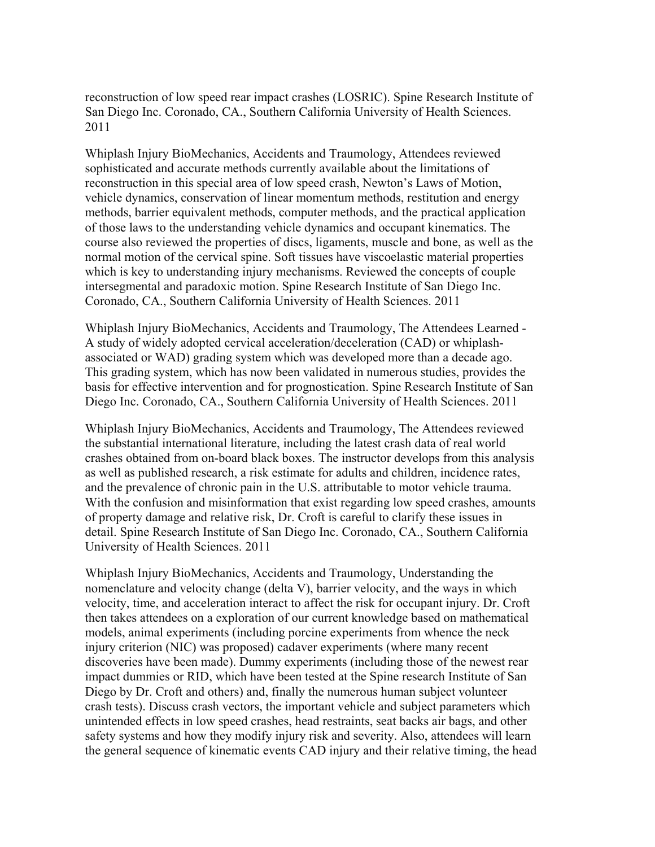reconstruction of low speed rear impact crashes (LOSRIC). Spine Research Institute of San Diego Inc. Coronado, CA., Southern California University of Health Sciences. 2011

Whiplash Injury BioMechanics, Accidents and Traumology, Attendees reviewed sophisticated and accurate methods currently available about the limitations of reconstruction in this special area of low speed crash, Newton's Laws of Motion, vehicle dynamics, conservation of linear momentum methods, restitution and energy methods, barrier equivalent methods, computer methods, and the practical application of those laws to the understanding vehicle dynamics and occupant kinematics. The course also reviewed the properties of discs, ligaments, muscle and bone, as well as the normal motion of the cervical spine. Soft tissues have viscoelastic material properties which is key to understanding injury mechanisms. Reviewed the concepts of couple intersegmental and paradoxic motion. Spine Research Institute of San Diego Inc. Coronado, CA., Southern California University of Health Sciences. 2011

Whiplash Injury BioMechanics, Accidents and Traumology, The Attendees Learned - A study of widely adopted cervical acceleration/deceleration (CAD) or whiplashassociated or WAD) grading system which was developed more than a decade ago. This grading system, which has now been validated in numerous studies, provides the basis for effective intervention and for prognostication. Spine Research Institute of San Diego Inc. Coronado, CA., Southern California University of Health Sciences. 2011

Whiplash Injury BioMechanics, Accidents and Traumology, The Attendees reviewed the substantial international literature, including the latest crash data of real world crashes obtained from on-board black boxes. The instructor develops from this analysis as well as published research, a risk estimate for adults and children, incidence rates, and the prevalence of chronic pain in the U.S. attributable to motor vehicle trauma. With the confusion and misinformation that exist regarding low speed crashes, amounts of property damage and relative risk, Dr. Croft is careful to clarify these issues in detail. Spine Research Institute of San Diego Inc. Coronado, CA., Southern California University of Health Sciences. 2011

Whiplash Injury BioMechanics, Accidents and Traumology, Understanding the nomenclature and velocity change (delta V), barrier velocity, and the ways in which velocity, time, and acceleration interact to affect the risk for occupant injury. Dr. Croft then takes attendees on a exploration of our current knowledge based on mathematical models, animal experiments (including porcine experiments from whence the neck injury criterion (NIC) was proposed) cadaver experiments (where many recent discoveries have been made). Dummy experiments (including those of the newest rear impact dummies or RID, which have been tested at the Spine research Institute of San Diego by Dr. Croft and others) and, finally the numerous human subject volunteer crash tests). Discuss crash vectors, the important vehicle and subject parameters which unintended effects in low speed crashes, head restraints, seat backs air bags, and other safety systems and how they modify injury risk and severity. Also, attendees will learn the general sequence of kinematic events CAD injury and their relative timing, the head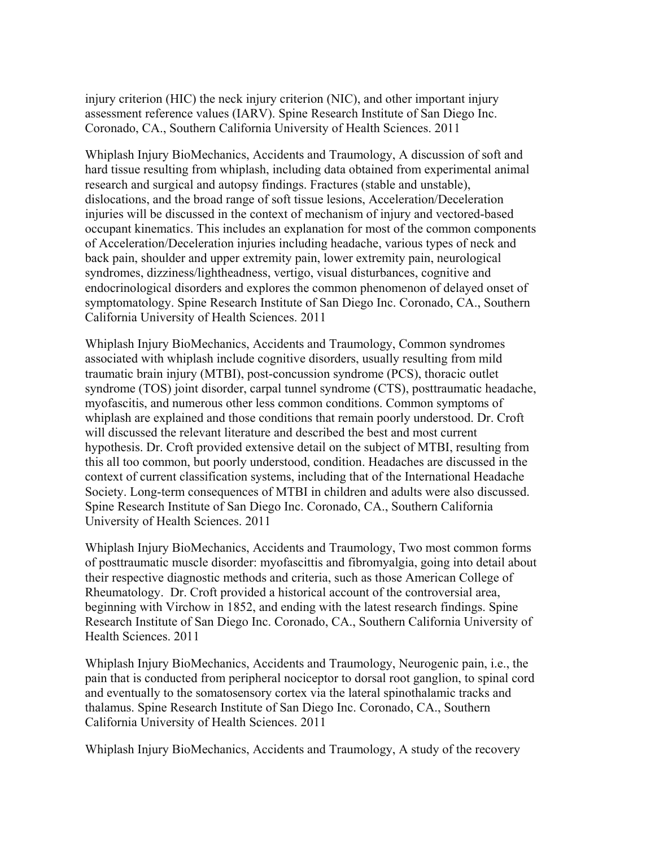injury criterion (HIC) the neck injury criterion (NIC), and other important injury assessment reference values (IARV). Spine Research Institute of San Diego Inc. Coronado, CA., Southern California University of Health Sciences. 2011

Whiplash Injury BioMechanics, Accidents and Traumology, A discussion of soft and hard tissue resulting from whiplash, including data obtained from experimental animal research and surgical and autopsy findings. Fractures (stable and unstable), dislocations, and the broad range of soft tissue lesions, Acceleration/Deceleration injuries will be discussed in the context of mechanism of injury and vectored-based occupant kinematics. This includes an explanation for most of the common components of Acceleration/Deceleration injuries including headache, various types of neck and back pain, shoulder and upper extremity pain, lower extremity pain, neurological syndromes, dizziness/lightheadness, vertigo, visual disturbances, cognitive and endocrinological disorders and explores the common phenomenon of delayed onset of symptomatology. Spine Research Institute of San Diego Inc. Coronado, CA., Southern California University of Health Sciences. 2011

Whiplash Injury BioMechanics, Accidents and Traumology, Common syndromes associated with whiplash include cognitive disorders, usually resulting from mild traumatic brain injury (MTBI), post-concussion syndrome (PCS), thoracic outlet syndrome (TOS) joint disorder, carpal tunnel syndrome (CTS), posttraumatic headache, myofascitis, and numerous other less common conditions. Common symptoms of whiplash are explained and those conditions that remain poorly understood. Dr. Croft will discussed the relevant literature and described the best and most current hypothesis. Dr. Croft provided extensive detail on the subject of MTBI, resulting from this all too common, but poorly understood, condition. Headaches are discussed in the context of current classification systems, including that of the International Headache Society. Long-term consequences of MTBI in children and adults were also discussed. Spine Research Institute of San Diego Inc. Coronado, CA., Southern California University of Health Sciences. 2011

Whiplash Injury BioMechanics, Accidents and Traumology, Two most common forms of posttraumatic muscle disorder: myofascittis and fibromyalgia, going into detail about their respective diagnostic methods and criteria, such as those American College of Rheumatology. Dr. Croft provided a historical account of the controversial area, beginning with Virchow in 1852, and ending with the latest research findings. Spine Research Institute of San Diego Inc. Coronado, CA., Southern California University of Health Sciences. 2011

Whiplash Injury BioMechanics, Accidents and Traumology, Neurogenic pain, i.e., the pain that is conducted from peripheral nociceptor to dorsal root ganglion, to spinal cord and eventually to the somatosensory cortex via the lateral spinothalamic tracks and thalamus. Spine Research Institute of San Diego Inc. Coronado, CA., Southern California University of Health Sciences. 2011

Whiplash Injury BioMechanics, Accidents and Traumology, A study of the recovery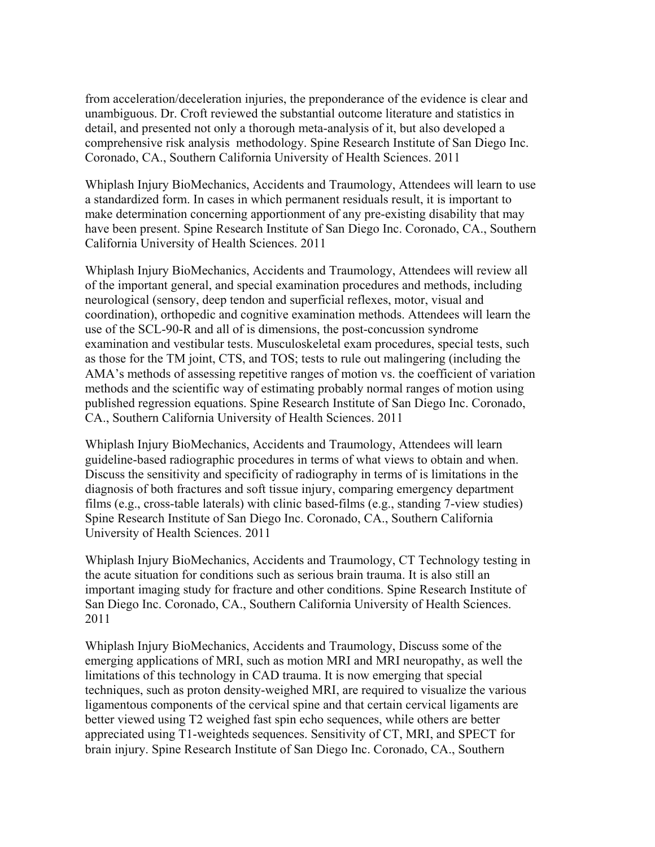from acceleration/deceleration injuries, the preponderance of the evidence is clear and unambiguous. Dr. Croft reviewed the substantial outcome literature and statistics in detail, and presented not only a thorough meta-analysis of it, but also developed a comprehensive risk analysis methodology. Spine Research Institute of San Diego Inc. Coronado, CA., Southern California University of Health Sciences. 2011

Whiplash Injury BioMechanics, Accidents and Traumology, Attendees will learn to use a standardized form. In cases in which permanent residuals result, it is important to make determination concerning apportionment of any pre-existing disability that may have been present. Spine Research Institute of San Diego Inc. Coronado, CA., Southern California University of Health Sciences. 2011

Whiplash Injury BioMechanics, Accidents and Traumology, Attendees will review all of the important general, and special examination procedures and methods, including neurological (sensory, deep tendon and superficial reflexes, motor, visual and coordination), orthopedic and cognitive examination methods. Attendees will learn the use of the SCL-90-R and all of is dimensions, the post-concussion syndrome examination and vestibular tests. Musculoskeletal exam procedures, special tests, such as those for the TM joint, CTS, and TOS; tests to rule out malingering (including the AMA's methods of assessing repetitive ranges of motion vs. the coefficient of variation methods and the scientific way of estimating probably normal ranges of motion using published regression equations. Spine Research Institute of San Diego Inc. Coronado, CA., Southern California University of Health Sciences. 2011

Whiplash Injury BioMechanics, Accidents and Traumology, Attendees will learn guideline-based radiographic procedures in terms of what views to obtain and when. Discuss the sensitivity and specificity of radiography in terms of is limitations in the diagnosis of both fractures and soft tissue injury, comparing emergency department films (e.g., cross-table laterals) with clinic based-films (e.g., standing 7-view studies) Spine Research Institute of San Diego Inc. Coronado, CA., Southern California University of Health Sciences. 2011

Whiplash Injury BioMechanics, Accidents and Traumology, CT Technology testing in the acute situation for conditions such as serious brain trauma. It is also still an important imaging study for fracture and other conditions. Spine Research Institute of San Diego Inc. Coronado, CA., Southern California University of Health Sciences. 2011

Whiplash Injury BioMechanics, Accidents and Traumology, Discuss some of the emerging applications of MRI, such as motion MRI and MRI neuropathy, as well the limitations of this technology in CAD trauma. It is now emerging that special techniques, such as proton density-weighed MRI, are required to visualize the various ligamentous components of the cervical spine and that certain cervical ligaments are better viewed using T2 weighed fast spin echo sequences, while others are better appreciated using T1-weighteds sequences. Sensitivity of CT, MRI, and SPECT for brain injury. Spine Research Institute of San Diego Inc. Coronado, CA., Southern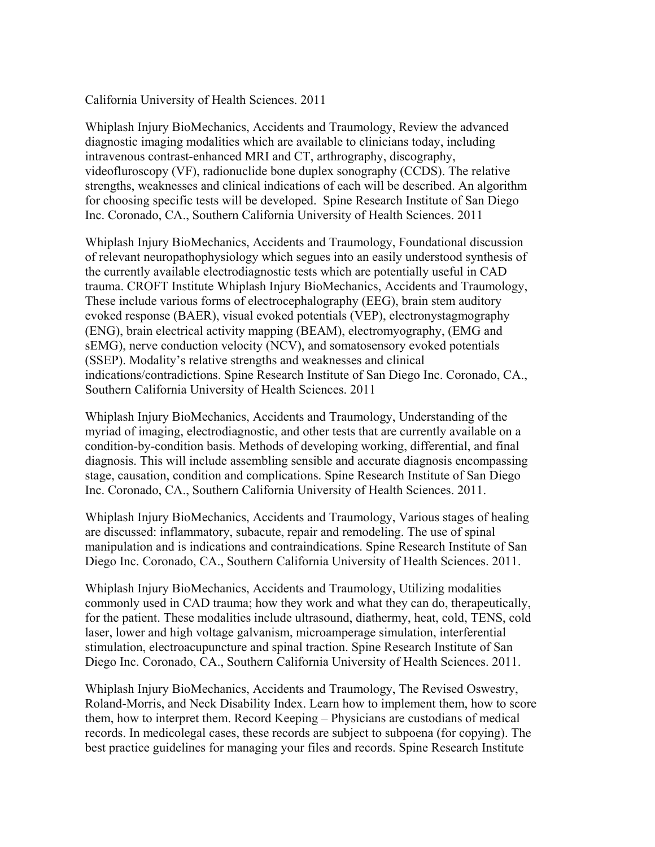### California University of Health Sciences. 2011

Whiplash Injury BioMechanics, Accidents and Traumology, Review the advanced diagnostic imaging modalities which are available to clinicians today, including intravenous contrast-enhanced MRI and CT, arthrography, discography, videofluroscopy (VF), radionuclide bone duplex sonography (CCDS). The relative strengths, weaknesses and clinical indications of each will be described. An algorithm for choosing specific tests will be developed. Spine Research Institute of San Diego Inc. Coronado, CA., Southern California University of Health Sciences. 2011

Whiplash Injury BioMechanics, Accidents and Traumology, Foundational discussion of relevant neuropathophysiology which segues into an easily understood synthesis of the currently available electrodiagnostic tests which are potentially useful in CAD trauma. CROFT Institute Whiplash Injury BioMechanics, Accidents and Traumology, These include various forms of electrocephalography (EEG), brain stem auditory evoked response (BAER), visual evoked potentials (VEP), electronystagmography (ENG), brain electrical activity mapping (BEAM), electromyography, (EMG and sEMG), nerve conduction velocity (NCV), and somatosensory evoked potentials (SSEP). Modality's relative strengths and weaknesses and clinical indications/contradictions. Spine Research Institute of San Diego Inc. Coronado, CA., Southern California University of Health Sciences. 2011

Whiplash Injury BioMechanics, Accidents and Traumology, Understanding of the myriad of imaging, electrodiagnostic, and other tests that are currently available on a condition-by-condition basis. Methods of developing working, differential, and final diagnosis. This will include assembling sensible and accurate diagnosis encompassing stage, causation, condition and complications. Spine Research Institute of San Diego Inc. Coronado, CA., Southern California University of Health Sciences. 2011.

Whiplash Injury BioMechanics, Accidents and Traumology, Various stages of healing are discussed: inflammatory, subacute, repair and remodeling. The use of spinal manipulation and is indications and contraindications. Spine Research Institute of San Diego Inc. Coronado, CA., Southern California University of Health Sciences. 2011.

Whiplash Injury BioMechanics, Accidents and Traumology, Utilizing modalities commonly used in CAD trauma; how they work and what they can do, therapeutically, for the patient. These modalities include ultrasound, diathermy, heat, cold, TENS, cold laser, lower and high voltage galvanism, microamperage simulation, interferential stimulation, electroacupuncture and spinal traction. Spine Research Institute of San Diego Inc. Coronado, CA., Southern California University of Health Sciences. 2011.

Whiplash Injury BioMechanics, Accidents and Traumology, The Revised Oswestry, Roland-Morris, and Neck Disability Index. Learn how to implement them, how to score them, how to interpret them. Record Keeping – Physicians are custodians of medical records. In medicolegal cases, these records are subject to subpoena (for copying). The best practice guidelines for managing your files and records. Spine Research Institute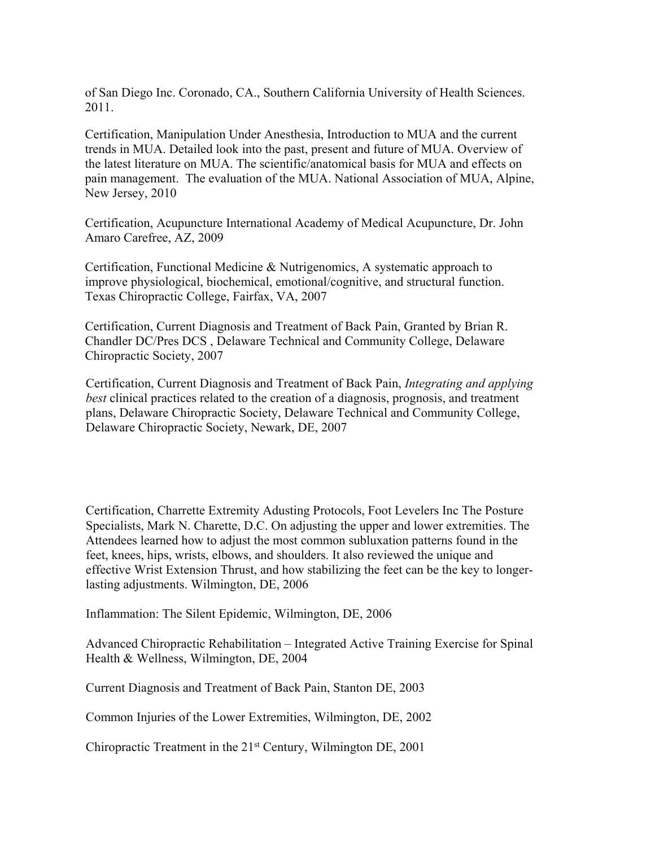of San Diego Inc. Coronado, CA., Southern California University of Health Sciences. 2011.

Certification, Manipulation Under Anesthesia, Introduction to MUA and the current trends in MUA. Detailed look into the past, present and future of MUA. Overview of the latest literature on MUA. The scientific/anatomical basis for MUA and effects on pain management. The evaluation of the MUA. National Association of MUA, Alpine, New Jersey, 2010

Certification, Acupuncture International Academy of Medical Acupuncture, Dr. John Amaro Carefree, AZ, 2009

Certification, Functional Medicine & Nutrigenomics, A systematic approach to improve physiological, biochemical, emotional/cognitive, and structural function. Texas Chiropractic College, Fairfax, VA, 2007

Certification, Current Diagnosis and Treatment of Back Pain, Granted by Brian R. Chandler DC/Pres DCS , Delaware Technical and Community College, Delaware Chiropractic Society, 2007

Certification, Current Diagnosis and Treatment of Back Pain, *Integrating and applying best* clinical practices related to the creation of a diagnosis, prognosis, and treatment plans, Delaware Chiropractic Society, Delaware Technical and Community College, Delaware Chiropractic Society, Newark, DE, 2007

Certification, Charrette Extremity Adusting Protocols, Foot Levelers Inc The Posture Specialists, Mark N. Charette, D.C. On adjusting the upper and lower extremities. The Attendees learned how to adjust the most common subluxation patterns found in the feet, knees, hips, wrists, elbows, and shoulders. It also reviewed the unique and effective Wrist Extension Thrust, and how stabilizing the feet can be the key to longerlasting adjustments. Wilmington, DE, 2006

Inflammation: The Silent Epidemic, Wilmington, DE, 2006

Advanced Chiropractic Rehabilitation – Integrated Active Training Exercise for Spinal Health & Wellness, Wilmington, DE, 2004

Current Diagnosis and Treatment of Back Pain, Stanton DE, 2003

Common Injuries of the Lower Extremities, Wilmington, DE, 2002

Chiropractic Treatment in the 21 st Century, Wilmington DE, 2001